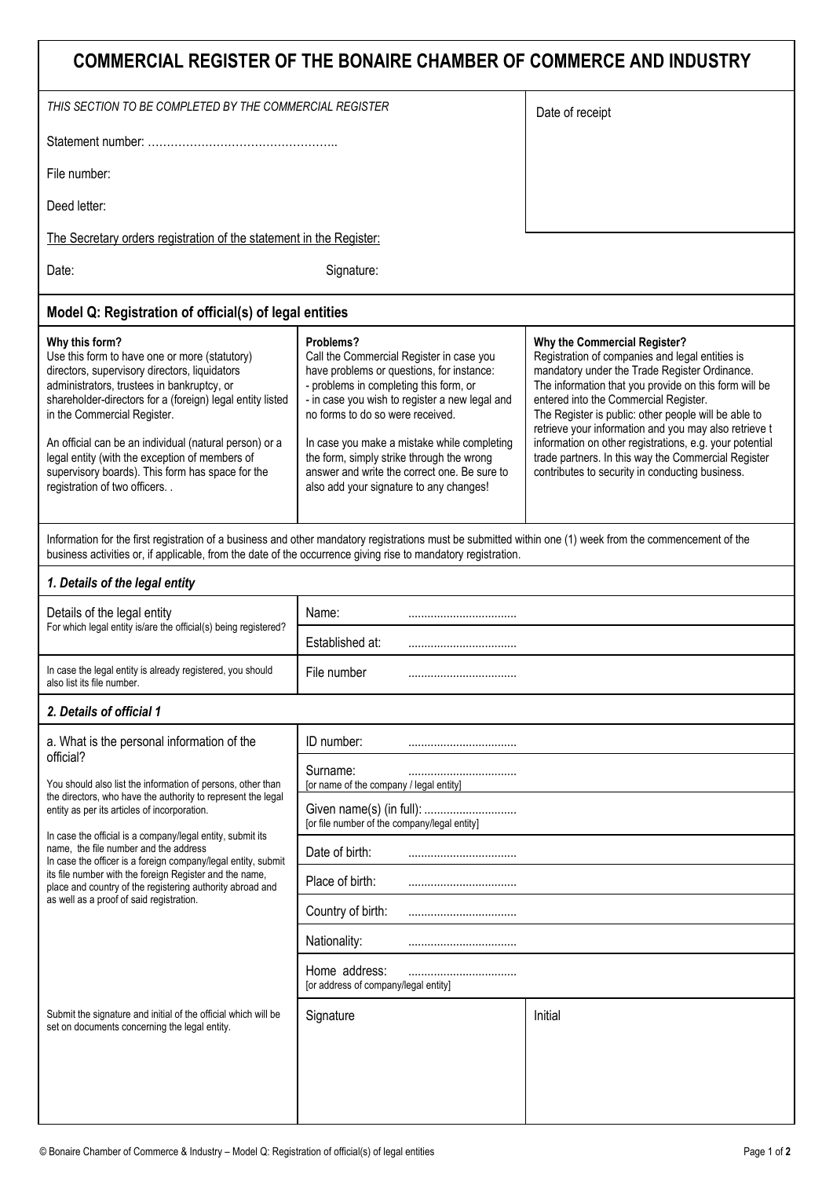## **COMMERCIAL REGISTER OF THE BONAIRE CHAMBER OF COMMERCE AND INDUSTRY**

|                                                                                                                                                                                                                                                                                                                                                                                                                                                                                                                                      | COMMERCIAL REGISTER OF THE BONAIRE CHAMBER OF COMMERCE AND INDUSTRY                                                                                                                                                                                                                                                                                                                                                       |                                                                                                                                                                                                                                                                                                                                                                                                                                                                                                                          |  |  |
|--------------------------------------------------------------------------------------------------------------------------------------------------------------------------------------------------------------------------------------------------------------------------------------------------------------------------------------------------------------------------------------------------------------------------------------------------------------------------------------------------------------------------------------|---------------------------------------------------------------------------------------------------------------------------------------------------------------------------------------------------------------------------------------------------------------------------------------------------------------------------------------------------------------------------------------------------------------------------|--------------------------------------------------------------------------------------------------------------------------------------------------------------------------------------------------------------------------------------------------------------------------------------------------------------------------------------------------------------------------------------------------------------------------------------------------------------------------------------------------------------------------|--|--|
| THIS SECTION TO BE COMPLETED BY THE COMMERCIAL REGISTER                                                                                                                                                                                                                                                                                                                                                                                                                                                                              | Date of receipt                                                                                                                                                                                                                                                                                                                                                                                                           |                                                                                                                                                                                                                                                                                                                                                                                                                                                                                                                          |  |  |
|                                                                                                                                                                                                                                                                                                                                                                                                                                                                                                                                      |                                                                                                                                                                                                                                                                                                                                                                                                                           |                                                                                                                                                                                                                                                                                                                                                                                                                                                                                                                          |  |  |
| File number:                                                                                                                                                                                                                                                                                                                                                                                                                                                                                                                         |                                                                                                                                                                                                                                                                                                                                                                                                                           |                                                                                                                                                                                                                                                                                                                                                                                                                                                                                                                          |  |  |
| Deed letter:                                                                                                                                                                                                                                                                                                                                                                                                                                                                                                                         |                                                                                                                                                                                                                                                                                                                                                                                                                           |                                                                                                                                                                                                                                                                                                                                                                                                                                                                                                                          |  |  |
| The Secretary orders registration of the statement in the Register:                                                                                                                                                                                                                                                                                                                                                                                                                                                                  |                                                                                                                                                                                                                                                                                                                                                                                                                           |                                                                                                                                                                                                                                                                                                                                                                                                                                                                                                                          |  |  |
| Date:                                                                                                                                                                                                                                                                                                                                                                                                                                                                                                                                | Signature:                                                                                                                                                                                                                                                                                                                                                                                                                |                                                                                                                                                                                                                                                                                                                                                                                                                                                                                                                          |  |  |
| Model Q: Registration of official(s) of legal entities                                                                                                                                                                                                                                                                                                                                                                                                                                                                               |                                                                                                                                                                                                                                                                                                                                                                                                                           |                                                                                                                                                                                                                                                                                                                                                                                                                                                                                                                          |  |  |
| Why this form?<br>Use this form to have one or more (statutory)<br>directors, supervisory directors, liquidators<br>administrators, trustees in bankruptcy, or<br>shareholder-directors for a (foreign) legal entity listed<br>in the Commercial Register.<br>An official can be an individual (natural person) or a<br>legal entity (with the exception of members of<br>supervisory boards). This form has space for the<br>registration of two officers. .                                                                        | Problems?<br>Call the Commercial Register in case you<br>have problems or questions, for instance:<br>- problems in completing this form, or<br>- in case you wish to register a new legal and<br>no forms to do so were received.<br>In case you make a mistake while completing<br>the form, simply strike through the wrong<br>answer and write the correct one. Be sure to<br>also add your signature to any changes! | Why the Commercial Register?<br>Registration of companies and legal entities is<br>mandatory under the Trade Register Ordinance.<br>The information that you provide on this form will be<br>entered into the Commercial Register.<br>The Register is public: other people will be able to<br>retrieve your information and you may also retrieve t<br>information on other registrations, e.g. your potential<br>trade partners. In this way the Commercial Register<br>contributes to security in conducting business. |  |  |
| Information for the first registration of a business and other mandatory registrations must be submitted within one (1) week from the commencement of the<br>business activities or, if applicable, from the date of the occurrence giving rise to mandatory registration.                                                                                                                                                                                                                                                           |                                                                                                                                                                                                                                                                                                                                                                                                                           |                                                                                                                                                                                                                                                                                                                                                                                                                                                                                                                          |  |  |
| 1. Details of the legal entity                                                                                                                                                                                                                                                                                                                                                                                                                                                                                                       |                                                                                                                                                                                                                                                                                                                                                                                                                           |                                                                                                                                                                                                                                                                                                                                                                                                                                                                                                                          |  |  |
| Details of the legal entity<br>For which legal entity is/are the official(s) being registered?                                                                                                                                                                                                                                                                                                                                                                                                                                       | Name:                                                                                                                                                                                                                                                                                                                                                                                                                     |                                                                                                                                                                                                                                                                                                                                                                                                                                                                                                                          |  |  |
|                                                                                                                                                                                                                                                                                                                                                                                                                                                                                                                                      | Established at:<br>                                                                                                                                                                                                                                                                                                                                                                                                       |                                                                                                                                                                                                                                                                                                                                                                                                                                                                                                                          |  |  |
| In case the legal entity is already registered, you should<br>also list its file number.                                                                                                                                                                                                                                                                                                                                                                                                                                             | File number                                                                                                                                                                                                                                                                                                                                                                                                               |                                                                                                                                                                                                                                                                                                                                                                                                                                                                                                                          |  |  |
| 2. Details of official 1                                                                                                                                                                                                                                                                                                                                                                                                                                                                                                             |                                                                                                                                                                                                                                                                                                                                                                                                                           |                                                                                                                                                                                                                                                                                                                                                                                                                                                                                                                          |  |  |
| a. What is the personal information of the                                                                                                                                                                                                                                                                                                                                                                                                                                                                                           | ID number:                                                                                                                                                                                                                                                                                                                                                                                                                |                                                                                                                                                                                                                                                                                                                                                                                                                                                                                                                          |  |  |
| official?<br>You should also list the information of persons, other than<br>the directors, who have the authority to represent the legal<br>entity as per its articles of incorporation.<br>In case the official is a company/legal entity, submit its<br>name, the file number and the address<br>In case the officer is a foreign company/legal entity, submit<br>its file number with the foreign Register and the name,<br>place and country of the registering authority abroad and<br>as well as a proof of said registration. | Surname:<br>for name of the company / legal entity                                                                                                                                                                                                                                                                                                                                                                        |                                                                                                                                                                                                                                                                                                                                                                                                                                                                                                                          |  |  |
|                                                                                                                                                                                                                                                                                                                                                                                                                                                                                                                                      | [or file number of the company/legal entity]                                                                                                                                                                                                                                                                                                                                                                              |                                                                                                                                                                                                                                                                                                                                                                                                                                                                                                                          |  |  |
|                                                                                                                                                                                                                                                                                                                                                                                                                                                                                                                                      | Date of birth:<br>                                                                                                                                                                                                                                                                                                                                                                                                        |                                                                                                                                                                                                                                                                                                                                                                                                                                                                                                                          |  |  |
|                                                                                                                                                                                                                                                                                                                                                                                                                                                                                                                                      | Place of birth:                                                                                                                                                                                                                                                                                                                                                                                                           |                                                                                                                                                                                                                                                                                                                                                                                                                                                                                                                          |  |  |
|                                                                                                                                                                                                                                                                                                                                                                                                                                                                                                                                      | Country of birth:                                                                                                                                                                                                                                                                                                                                                                                                         |                                                                                                                                                                                                                                                                                                                                                                                                                                                                                                                          |  |  |
|                                                                                                                                                                                                                                                                                                                                                                                                                                                                                                                                      | Nationality:                                                                                                                                                                                                                                                                                                                                                                                                              |                                                                                                                                                                                                                                                                                                                                                                                                                                                                                                                          |  |  |
|                                                                                                                                                                                                                                                                                                                                                                                                                                                                                                                                      | Home address:<br>[or address of company/legal entity]                                                                                                                                                                                                                                                                                                                                                                     |                                                                                                                                                                                                                                                                                                                                                                                                                                                                                                                          |  |  |
| Submit the signature and initial of the official which will be<br>set on documents concerning the legal entity.                                                                                                                                                                                                                                                                                                                                                                                                                      | Signature                                                                                                                                                                                                                                                                                                                                                                                                                 | Initial                                                                                                                                                                                                                                                                                                                                                                                                                                                                                                                  |  |  |